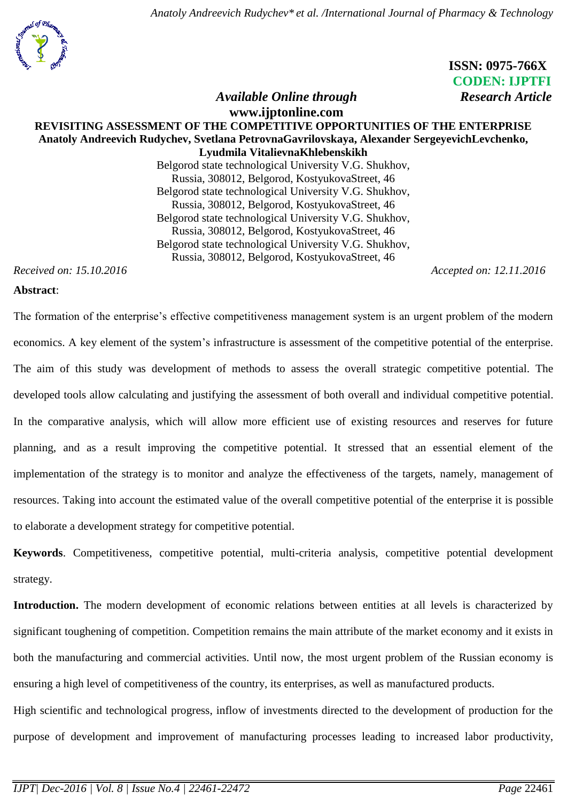*Anatoly Andreevich Rudychev\* et al. /International Journal of Pharmacy & Technology*



# **ISSN: 0975-766X CODEN: IJPTFI** *Available Online through* **Research Article**

### **www.ijptonline.com REVISITING ASSESSMENT OF THE COMPETITIVE OPPORTUNITIES OF THE ENTERPRISE Anatoly Andreevich Rudychev, Svetlana PetrovnaGavrilovskaya, Alexander SergeyevichLevchenko, Lyudmila VitalievnaKhlebenskikh** Belgorod state technological University V.G. Shukhov, Russia, 308012, Belgorod, KostyukovaStreet, 46 Belgorod state technological University V.G. Shukhov,

Russia, 308012, Belgorod, KostyukovaStreet, 46 Belgorod state technological University V.G. Shukhov, Russia, 308012, Belgorod, KostyukovaStreet, 46 Belgorod state technological University V.G. Shukhov, Russia, 308012, Belgorod, KostyukovaStreet, 46

*Received on: 15.10.2016 Accepted on: 12.11.2016*

#### **Abstract**:

The formation of the enterprise's effective competitiveness management system is an urgent problem of the modern economics. A key element of the system's infrastructure is assessment of the competitive potential of the enterprise. The aim of this study was development of methods to assess the overall strategic competitive potential. The developed tools allow calculating and justifying the assessment of both overall and individual competitive potential. In the comparative analysis, which will allow more efficient use of existing resources and reserves for future planning, and as a result improving the competitive potential. It stressed that an essential element of the implementation of the strategy is to monitor and analyze the effectiveness of the targets, namely, management of resources. Taking into account the estimated value of the overall competitive potential of the enterprise it is possible to elaborate a development strategy for competitive potential.

**Keywords**. Competitiveness, competitive potential, multi-criteria analysis, competitive potential development strategy.

**Introduction.** The modern development of economic relations between entities at all levels is characterized by significant toughening of competition. Competition remains the main attribute of the market economy and it exists in both the manufacturing and commercial activities. Until now, the most urgent problem of the Russian economy is ensuring a high level of competitiveness of the country, its enterprises, as well as manufactured products.

High scientific and technological progress, inflow of investments directed to the development of production for the purpose of development and improvement of manufacturing processes leading to increased labor productivity,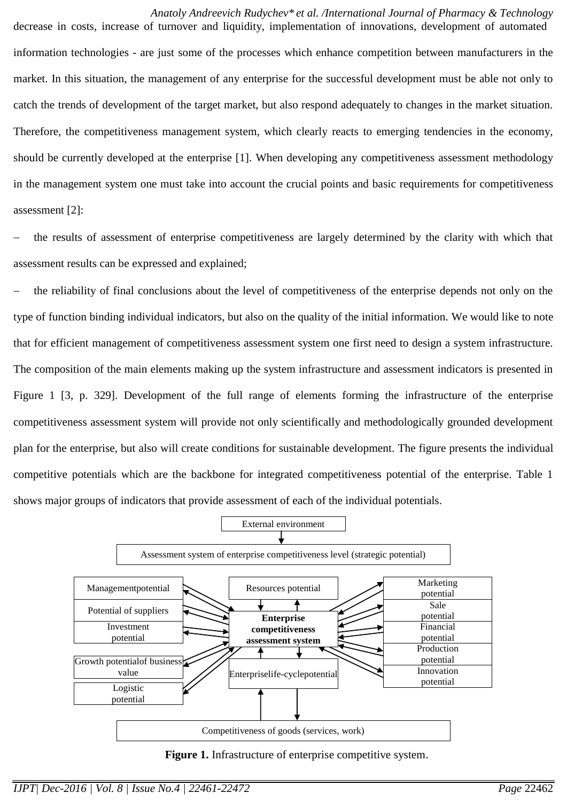#### *Anatoly Andreevich Rudychev\* et al. /International Journal of Pharmacy & Technology* decrease in costs, increase of turnover and liquidity, implementation of innovations, development of automated

information technologies - are just some of the processes which enhance competition between manufacturers in the market. In this situation, the management of any enterprise for the successful development must be able not only to catch the trends of development of the target market, but also respond adequately to changes in the market situation. Therefore, the competitiveness management system, which clearly reacts to emerging tendencies in the economy, should be currently developed at the enterprise [1]. When developing any competitiveness assessment methodology in the management system one must take into account the crucial points and basic requirements for competitiveness assessment [2]:

 the results of assessment of enterprise competitiveness are largely determined by the clarity with which that assessment results can be expressed and explained;

 the reliability of final conclusions about the level of competitiveness of the enterprise depends not only on the type of function binding individual indicators, but also on the quality of the initial information. We would like to note that for efficient management of competitiveness assessment system one first need to design a system infrastructure. The composition of the main elements making up the system infrastructure and assessment indicators is presented in Figure 1 [3, p. 329]. Development of the full range of elements forming the infrastructure of the enterprise competitiveness assessment system will provide not only scientifically and methodologically grounded development plan for the enterprise, but also will create conditions for sustainable development. The figure presents the individual competitive potentials which are the backbone for integrated competitiveness potential of the enterprise. Table 1 shows major groups of indicators that provide assessment of each of the individual potentials.



Figure 1. Infrastructure of enterprise competitive system.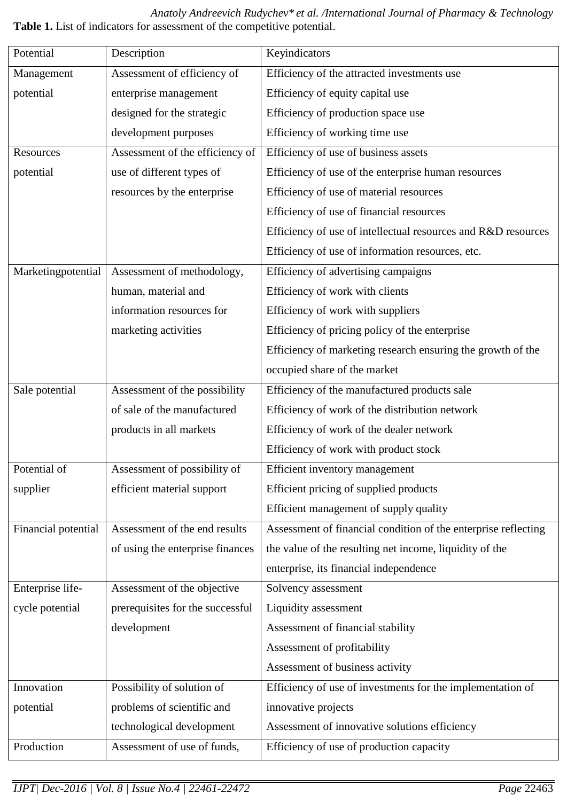*Anatoly Andreevich Rudychev\* et al. /International Journal of Pharmacy & Technology* **Table 1.** List of indicators for assessment of the competitive potential.

| Potential           | Description                      | Keyindicators                                                  |
|---------------------|----------------------------------|----------------------------------------------------------------|
| Management          | Assessment of efficiency of      | Efficiency of the attracted investments use                    |
| potential           | enterprise management            | Efficiency of equity capital use                               |
|                     | designed for the strategic       | Efficiency of production space use                             |
|                     | development purposes             | Efficiency of working time use                                 |
| Resources           | Assessment of the efficiency of  | Efficiency of use of business assets                           |
| potential           | use of different types of        | Efficiency of use of the enterprise human resources            |
|                     | resources by the enterprise      | Efficiency of use of material resources                        |
|                     |                                  | Efficiency of use of financial resources                       |
|                     |                                  | Efficiency of use of intellectual resources and R&D resources  |
|                     |                                  | Efficiency of use of information resources, etc.               |
| Marketingpotential  | Assessment of methodology,       | Efficiency of advertising campaigns                            |
|                     | human, material and              | Efficiency of work with clients                                |
|                     | information resources for        | Efficiency of work with suppliers                              |
|                     | marketing activities             | Efficiency of pricing policy of the enterprise                 |
|                     |                                  | Efficiency of marketing research ensuring the growth of the    |
|                     |                                  | occupied share of the market                                   |
| Sale potential      | Assessment of the possibility    | Efficiency of the manufactured products sale                   |
|                     | of sale of the manufactured      | Efficiency of work of the distribution network                 |
|                     | products in all markets          | Efficiency of work of the dealer network                       |
|                     |                                  | Efficiency of work with product stock                          |
| Potential of        | Assessment of possibility of     | Efficient inventory management                                 |
| supplier            | efficient material support       | Efficient pricing of supplied products                         |
|                     |                                  | Efficient management of supply quality                         |
| Financial potential | Assessment of the end results    | Assessment of financial condition of the enterprise reflecting |
|                     | of using the enterprise finances | the value of the resulting net income, liquidity of the        |
|                     |                                  | enterprise, its financial independence                         |
| Enterprise life-    | Assessment of the objective      | Solvency assessment                                            |
| cycle potential     | prerequisites for the successful | Liquidity assessment                                           |
|                     | development                      | Assessment of financial stability                              |
|                     |                                  | Assessment of profitability                                    |
|                     |                                  | Assessment of business activity                                |
| Innovation          | Possibility of solution of       | Efficiency of use of investments for the implementation of     |
| potential           | problems of scientific and       | innovative projects                                            |
|                     | technological development        | Assessment of innovative solutions efficiency                  |
| Production          | Assessment of use of funds,      | Efficiency of use of production capacity                       |
|                     |                                  |                                                                |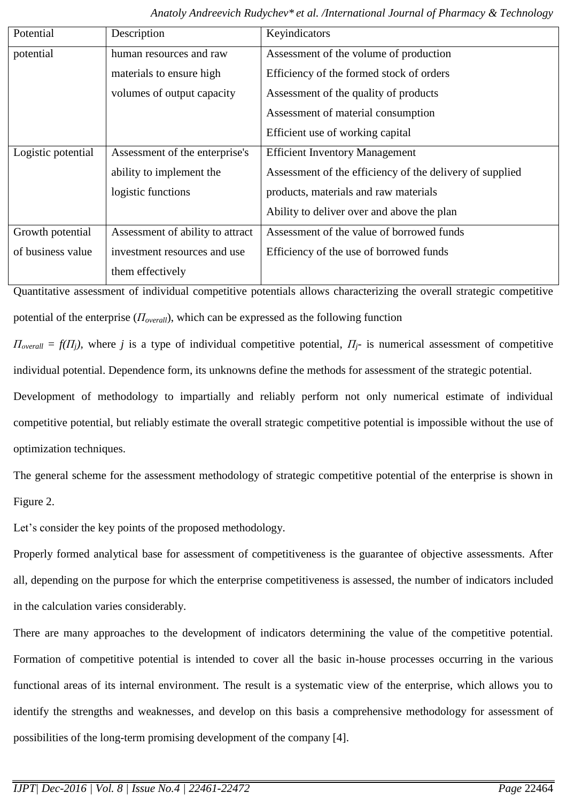| Potential          | Description                      | Keyindicators                                            |  |  |  |  |  |
|--------------------|----------------------------------|----------------------------------------------------------|--|--|--|--|--|
| potential          | human resources and raw          | Assessment of the volume of production                   |  |  |  |  |  |
|                    | materials to ensure high         | Efficiency of the formed stock of orders                 |  |  |  |  |  |
|                    | volumes of output capacity       | Assessment of the quality of products                    |  |  |  |  |  |
|                    |                                  | Assessment of material consumption                       |  |  |  |  |  |
|                    |                                  | Efficient use of working capital                         |  |  |  |  |  |
| Logistic potential | Assessment of the enterprise's   | <b>Efficient Inventory Management</b>                    |  |  |  |  |  |
|                    | ability to implement the         | Assessment of the efficiency of the delivery of supplied |  |  |  |  |  |
|                    | logistic functions               | products, materials and raw materials                    |  |  |  |  |  |
|                    |                                  | Ability to deliver over and above the plan               |  |  |  |  |  |
| Growth potential   | Assessment of ability to attract | Assessment of the value of borrowed funds                |  |  |  |  |  |
| of business value  | investment resources and use     | Efficiency of the use of borrowed funds                  |  |  |  |  |  |
|                    | them effectively                 |                                                          |  |  |  |  |  |

Quantitative assessment of individual competitive potentials allows characterizing the overall strategic competitive potential of the enterprise ( $\Pi_{overall}$ ), which can be expressed as the following function

 $\Pi_{overall} = f(\Pi_j)$ , where *j* is a type of individual competitive potential,  $\Pi_j$ - is numerical assessment of competitive individual potential. Dependence form, its unknowns define the methods for assessment of the strategic potential. Development of methodology to impartially and reliably perform not only numerical estimate of individual competitive potential, but reliably estimate the overall strategic competitive potential is impossible without the use of optimization techniques.

The general scheme for the assessment methodology of strategic competitive potential of the enterprise is shown in Figure 2.

Let's consider the key points of the proposed methodology.

Properly formed analytical base for assessment of competitiveness is the guarantee of objective assessments. After all, depending on the purpose for which the enterprise competitiveness is assessed, the number of indicators included in the calculation varies considerably.

There are many approaches to the development of indicators determining the value of the competitive potential. Formation of competitive potential is intended to cover all the basic in-house processes occurring in the various functional areas of its internal environment. The result is a systematic view of the enterprise, which allows you to identify the strengths and weaknesses, and develop on this basis a comprehensive methodology for assessment of possibilities of the long-term promising development of the company [4].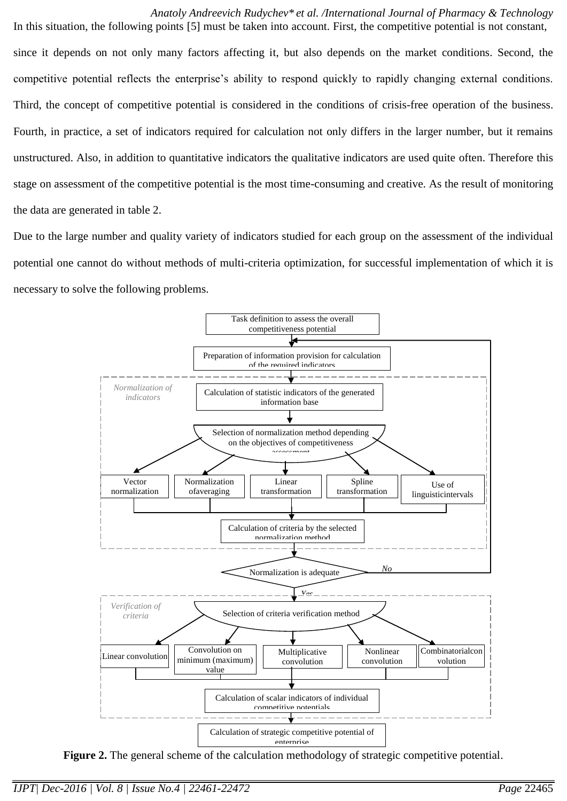*Anatoly Andreevich Rudychev\* et al. /International Journal of Pharmacy & Technology* In this situation, the following points [5] must be taken into account. First, the competitive potential is not constant, since it depends on not only many factors affecting it, but also depends on the market conditions. Second, the competitive potential reflects the enterprise's ability to respond quickly to rapidly changing external conditions. Third, the concept of competitive potential is considered in the conditions of crisis-free operation of the business. Fourth, in practice, a set of indicators required for calculation not only differs in the larger number, but it remains unstructured. Also, in addition to quantitative indicators the qualitative indicators are used quite often. Therefore this stage on assessment of the competitive potential is the most time-consuming and creative. As the result of monitoring the data are generated in table 2.

Due to the large number and quality variety of indicators studied for each group on the assessment of the individual potential one cannot do without methods of multi-criteria optimization, for successful implementation of which it is necessary to solve the following problems.



Figure 2. The general scheme of the calculation methodology of strategic competitive potential.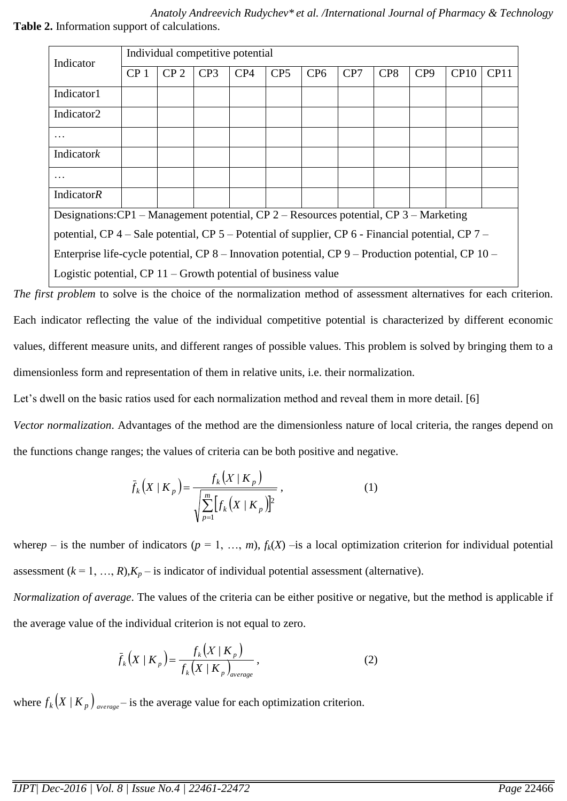*Anatoly Andreevich Rudychev\* et al. /International Journal of Pharmacy & Technology* **Table 2.** Information support of calculations.

| Indicator                                                                                          | Individual competitive potential |                 |     |     |                 |                 |     |                 |                 |      |      |
|----------------------------------------------------------------------------------------------------|----------------------------------|-----------------|-----|-----|-----------------|-----------------|-----|-----------------|-----------------|------|------|
|                                                                                                    | CP <sub>1</sub>                  | CP <sub>2</sub> | CP3 | CP4 | CP <sub>5</sub> | CP <sub>6</sub> | CP7 | CP <sub>8</sub> | CP <sub>9</sub> | CP10 | CP11 |
| Indicator1                                                                                         |                                  |                 |     |     |                 |                 |     |                 |                 |      |      |
| Indicator <sub>2</sub>                                                                             |                                  |                 |     |     |                 |                 |     |                 |                 |      |      |
|                                                                                                    |                                  |                 |     |     |                 |                 |     |                 |                 |      |      |
| Indicatork                                                                                         |                                  |                 |     |     |                 |                 |     |                 |                 |      |      |
|                                                                                                    |                                  |                 |     |     |                 |                 |     |                 |                 |      |      |
| <b>IndicatorR</b>                                                                                  |                                  |                 |     |     |                 |                 |     |                 |                 |      |      |
| Designations: CP1 – Management potential, CP 2 – Resources potential, CP 3 – Marketing             |                                  |                 |     |     |                 |                 |     |                 |                 |      |      |
| potential, CP 4 – Sale potential, CP 5 – Potential of supplier, CP 6 - Financial potential, CP 7 – |                                  |                 |     |     |                 |                 |     |                 |                 |      |      |
| Enterprise life-cycle potential, CP 8 – Innovation potential, CP 9 – Production potential, CP 10 – |                                  |                 |     |     |                 |                 |     |                 |                 |      |      |
| Logistic potential, $CP 11 - Growth$ potential of business value                                   |                                  |                 |     |     |                 |                 |     |                 |                 |      |      |

*The first problem* to solve is the choice of the normalization method of assessment alternatives for each criterion. Each indicator reflecting the value of the individual competitive potential is characterized by different economic values, different measure units, and different ranges of possible values. This problem is solved by bringing them to a dimensionless form and representation of them in relative units, i.e. their normalization.

Let's dwell on the basic ratios used for each normalization method and reveal them in more detail. [6]

*Vector normalization*. Advantages of the method are the dimensionless nature of local criteria, the ranges depend on the functions change ranges; the values of criteria can be both positive and negative.

$$
\bar{f}_k(X \mid K_p) = \frac{f_k(X \mid K_p)}{\sqrt{\sum_{p=1}^m [f_k(X \mid K_p)]^2}},
$$
\n(1)

where  $p$  – is the number of indicators ( $p = 1, ..., m$ ),  $f_k(X)$  –is a local optimization criterion for individual potential assessment  $(k = 1, ..., R)$ , $K_p$  – is indicator of individual potential assessment (alternative).

*Normalization of average*. The values of the criteria can be either positive or negative, but the method is applicable if the average value of the individual criterion is not equal to zero.

$$
\bar{f}_k(X \mid K_p) = \frac{f_k(X \mid K_p)}{f_k(X \mid K_p)_{average}}\,,\tag{2}
$$

where  $f_k(X|K_p)$ <sub>average</sub> – is the average value for each optimization criterion.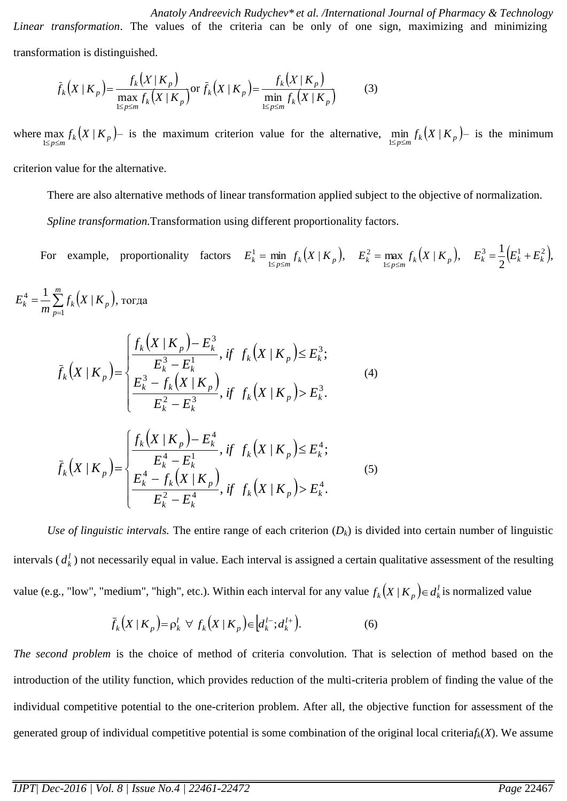*Anatoly Andreevich Rudychev\* et al. /International Journal of Pharmacy & Technology Linear transformation*. The values of the criteria can be only of one sign, maximizing and minimizing transformation is distinguished.

$$
\bar{f}_k(X|K_p) = \frac{f_k(X|K_p)}{\max_{1 \le p \le m} f_k(X|K_p)} \text{or } \bar{f}_k(X|K_p) = \frac{f_k(X|K_p)}{\min_{1 \le p \le m} f_k(X|K_p)}
$$
(3)

where  $\max_{1 \le p \le m} f_k(X \mid K_p)$  is the maximum criterion value for the alternative,  $\min_{1 \le p \le m} f_k(X \mid K_p)$  is the minimum

criterion value for the alternative.

There are also alternative methods of linear transformation applied subject to the objective of normalization.

*Spline transformation.*Transformation using different proportionality factors.

For example, proportionality factors  $E_k^1 = \min_{1 \le p \le m} f_k(X \mid K_p)$ , 1  $=\min_{1 \le p \le m} f_k(X \mid K_p), \quad E_k^2 = \max_{1 \le p \le m} f_k(X \mid K_p).$ 2  $=\max_{1 \le p \le m} f_k(X \mid K_p), \quad E_k^3 = \frac{1}{2} (E_k^1 + E_k^2),$ 2  $E_k^3 = \frac{1}{2} \left( E_k^1 + E_k^2 \right),$ 

$$
E_{k}^{4} = \frac{1}{m} \sum_{p=1}^{m} f_{k}(X | K_{p}), \text{tor,}
$$
\n
$$
\bar{f}_{k}(X | K_{p}) = \begin{cases}\n\frac{f_{k}(X | K_{p}) - E_{k}^{3}}{E_{k}^{3} - E_{k}^{1}}, & \text{if } f_{k}(X | K_{p}) \leq E_{k}^{3}; \\
\frac{E_{k}^{3} - f_{k}(X | K_{p})}{E_{k}^{2} - E_{k}^{3}}, & \text{if } f_{k}(X | K_{p}) > E_{k}^{3}.\n\end{cases}
$$
\n
$$
\bar{f}_{k}(X | K_{p}) = \begin{cases}\n\frac{f_{k}(X | K_{p}) - E_{k}^{4}}{E_{k}^{4} - E_{k}^{1}}, & \text{if } f_{k}(X | K_{p}) \leq E_{k}^{4}; \\
\frac{E_{k}^{4} - F_{k}(X | K_{p})}{E_{k}^{2} - E_{k}^{4}}, & \text{if } f_{k}(X | K_{p}) > E_{k}^{4}.\n\end{cases}
$$
\n(5)

*Use of linguistic intervals.* The entire range of each criterion  $(D_k)$  is divided into certain number of linguistic intervals  $(d_k^l)$  not necessarily equal in value. Each interval is assigned a certain qualitative assessment of the resulting value (e.g., "low", "medium", "high", etc.). Within each interval for any value  $f_k(X|K_p) \in d_k^l$  is normalized value

$$
\bar{f}_k(X|K_p) = \rho_k^l \ \ \forall \ f_k(X|K_p) \in [d_k^{l-}; d_k^{l+}). \tag{6}
$$

*The second problem* is the choice of method of criteria convolution. That is selection of method based on the introduction of the utility function, which provides reduction of the multi-criteria problem of finding the value of the individual competitive potential to the one-criterion problem. After all, the objective function for assessment of the generated group of individual competitive potential is some combination of the original local criteria*fk*(*X*). We assume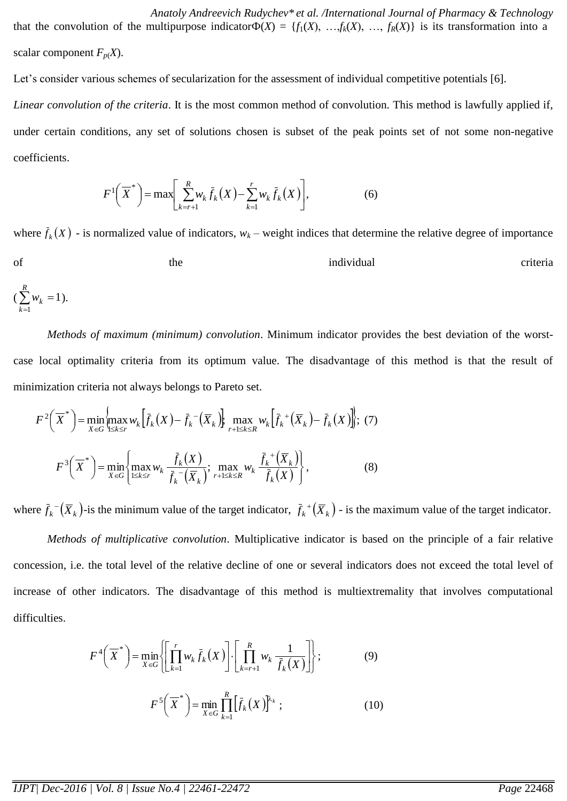*Anatoly Andreevich Rudychev\* et al. /International Journal of Pharmacy & Technology* that the convolution of the multipurpose indicator $\Phi(X) = \{f_1(X), \ldots, f_k(X), \ldots, f_R(X)\}\$ is its transformation into a scalar component  $F_p(X)$ .

Let's consider various schemes of secularization for the assessment of individual competitive potentials [6].

*Linear convolution of the criteria*. It is the most common method of convolution. This method is lawfully applied if, under certain conditions, any set of solutions chosen is subset of the peak points set of not some non-negative coefficients.

$$
F^{1}\!\left(\overline{X}^{*}\right) = \max\!\left[\sum_{k=r+1}^{R} w_{k} \bar{f}_{k}\!\left(X\right) - \sum_{k=1}^{r} w_{k} \bar{f}_{k}\!\left(X\right)\right],\tag{6}
$$

where  $\bar{f}_k(X)$  - is normalized value of indicators,  $w_k$  – weight indices that determine the relative degree of importance of the the individual criteria *R*

$$
\left(\sum_{k=1}^n w_k=1\right).
$$

*Methods of maximum (minimum) convolution*. Minimum indicator provides the best deviation of the worstcase local optimality criteria from its optimum value. The disadvantage of this method is that the result of minimization criteria not always belongs to Pareto set.

$$
F^{2}\left(\overline{X}^{*}\right) = \min_{X \in G} \left\{\max_{1 \leq k \leq r} w_{k}\left[\overline{f}_{k}(X) - \overline{f}_{k}^{-}(\overline{X}_{k})\right]\right\} \max_{r+1 \leq k \leq R} w_{k}\left[\overline{f}_{k}^{+}(\overline{X}_{k}) - \overline{f}_{k}(X)\right]; (7)
$$

$$
F^{3}\left(\overline{X}^{*}\right) = \min_{X \in G} \left\{\max_{1 \leq k \leq r} w_{k}\frac{\overline{f}_{k}(X)}{\overline{f}_{k}^{-}(\overline{X}_{k})}; \max_{r+1 \leq k \leq R} w_{k}\frac{\overline{f}_{k}^{+}(\overline{X}_{k})}{\overline{f}_{k}(X)}\right\},
$$
 (8)

where  $\bar{f}_k^-(\bar{X}_k)$ -is the minimum value of the target indicator,  $\bar{f}_k^+(\bar{X}_k)$  - is the maximum value of the target indicator.

*Methods of multiplicative convolution*. Multiplicative indicator is based on the principle of a fair relative concession, i.e. the total level of the relative decline of one or several indicators does not exceed the total level of increase of other indicators. The disadvantage of this method is multiextremality that involves computational difficulties.

$$
F^{4}\left(\overline{X}^{*}\right) = \min_{X \in G} \left\{ \left[ \prod_{k=1}^{r} w_{k} \overline{f}_{k}(X) \right] \cdot \left[ \prod_{k=r+1}^{R} w_{k} \frac{1}{\overline{f}_{k}(X)} \right] \right\};
$$
(9)  

$$
F^{5}\left(\overline{X}^{*}\right) = \min_{X \in G} \prod_{k=1}^{R} \left[ \overline{f}_{k}(X) \right]^{k_{k}};
$$
(10)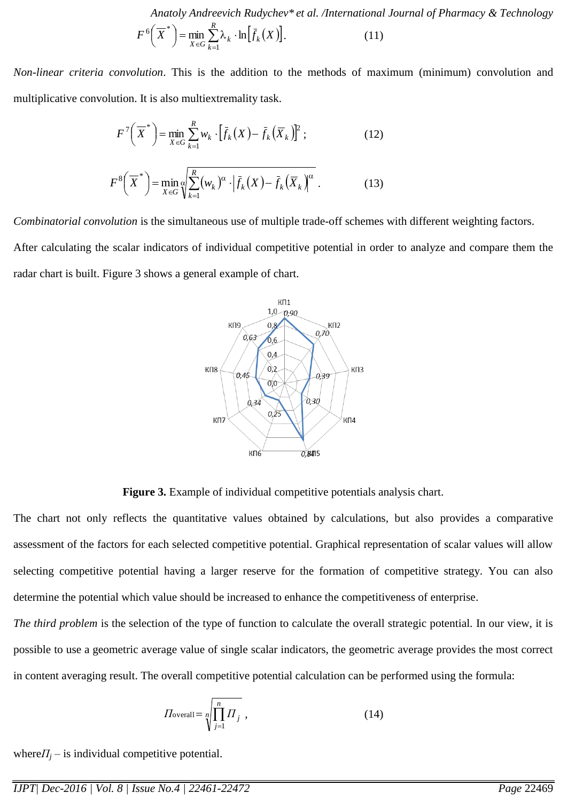*Anatoly Andreevich Rudychev\* et al. /International Journal of Pharmacy & Technology*

$$
F^{6}\left(\overline{X}^{*}\right) = \min_{X \in G} \sum_{k=1}^{R} \lambda_{k} \cdot \ln\left[\overline{f}_{k}\left(X\right)\right].
$$
 (11)

*Non-linear criteria convolution*. This is the addition to the methods of maximum (minimum) convolution and multiplicative convolution. It is also multiextremality task.

$$
F^7\left(\overline{X}^*\right) = \min_{X \in G} \sum_{k=1}^R w_k \cdot \left[\overline{f}_k(X) - \overline{f}_k(\overline{X}_k)\right]^2; \tag{12}
$$

$$
F^{8}\left(\overline{X}^{*}\right) = \min_{X \in G} \sqrt[\alpha]{\sum_{k=1}^{R} (w_{k})^{\alpha} \cdot \left|\bar{f}_{k}(X) - \bar{f}_{k}\left(\overline{X}_{k}\right)^{\alpha}} \right|} \tag{13}
$$

*Combinatorial convolution* is the simultaneous use of multiple trade-off schemes with different weighting factors.

After calculating the scalar indicators of individual competitive potential in order to analyze and compare them the radar chart is built. Figure 3 shows a general example of chart.



**Figure 3.** Example of individual competitive potentials analysis chart.

The chart not only reflects the quantitative values obtained by calculations, but also provides a comparative assessment of the factors for each selected competitive potential. Graphical representation of scalar values will allow selecting competitive potential having a larger reserve for the formation of competitive strategy. You can also determine the potential which value should be increased to enhance the competitiveness of enterprise.

*The third problem* is the selection of the type of function to calculate the overall strategic potential. In our view, it is possible to use a geometric average value of single scalar indicators, the geometric average provides the most correct in content averaging result. The overall competitive potential calculation can be performed using the formula:

$$
\Pi_{\text{overall}} = \sqrt[n]{\prod_{j=1}^{n} \Pi_{j}} \tag{14}
$$

where $\Pi$ <sup>*j*</sup> – is individual competitive potential.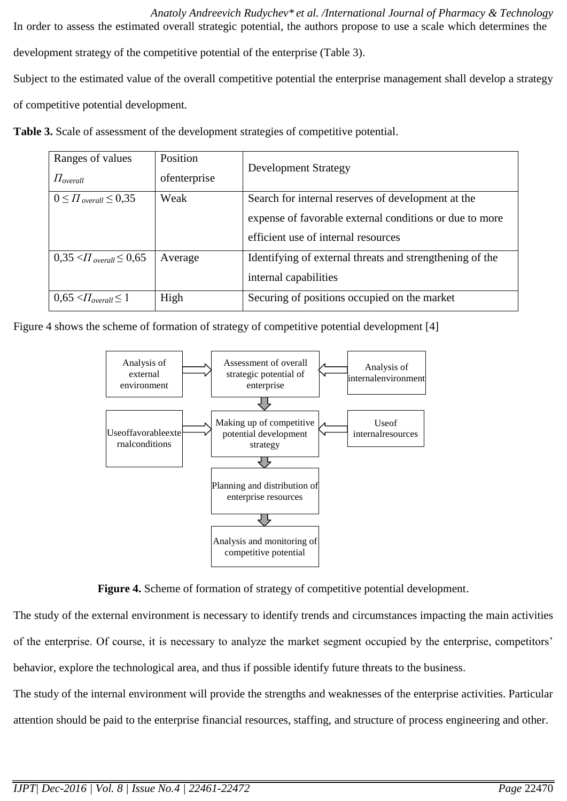*Anatoly Andreevich Rudychev\* et al. /International Journal of Pharmacy & Technology* In order to assess the estimated overall strategic potential, the authors propose to use a scale which determines the development strategy of the competitive potential of the enterprise (Table 3). Subject to the estimated value of the overall competitive potential the enterprise management shall develop a strategy of competitive potential development.

**Table 3.** Scale of assessment of the development strategies of competitive potential.

| Ranges of values<br>$\Pi_{overall}$ | Position<br>ofenterprise | <b>Development Strategy</b>                                                                                                                          |
|-------------------------------------|--------------------------|------------------------------------------------------------------------------------------------------------------------------------------------------|
| $0 \leq \prod_{overall} \leq 0.35$  | Weak                     | Search for internal reserves of development at the<br>expense of favorable external conditions or due to more<br>efficient use of internal resources |
| $0.35 < \Pi_{overall} \leq 0.65$    | Average                  | Identifying of external threats and strengthening of the<br>internal capabilities                                                                    |
| $0.65 \leq I_{overall} \leq 1$      | High                     | Securing of positions occupied on the market                                                                                                         |

|  | Figure 4 shows the scheme of formation of strategy of competitive potential development [4] |  |  |  |  |
|--|---------------------------------------------------------------------------------------------|--|--|--|--|
|  |                                                                                             |  |  |  |  |



**Figure 4.** Scheme of formation of strategy of competitive potential development.

The study of the external environment is necessary to identify trends and circumstances impacting the main activities of the enterprise. Of course, it is necessary to analyze the market segment occupied by the enterprise, competitors' behavior, explore the technological area, and thus if possible identify future threats to the business.

The study of the internal environment will provide the strengths and weaknesses of the enterprise activities. Particular attention should be paid to the enterprise financial resources, staffing, and structure of process engineering and other.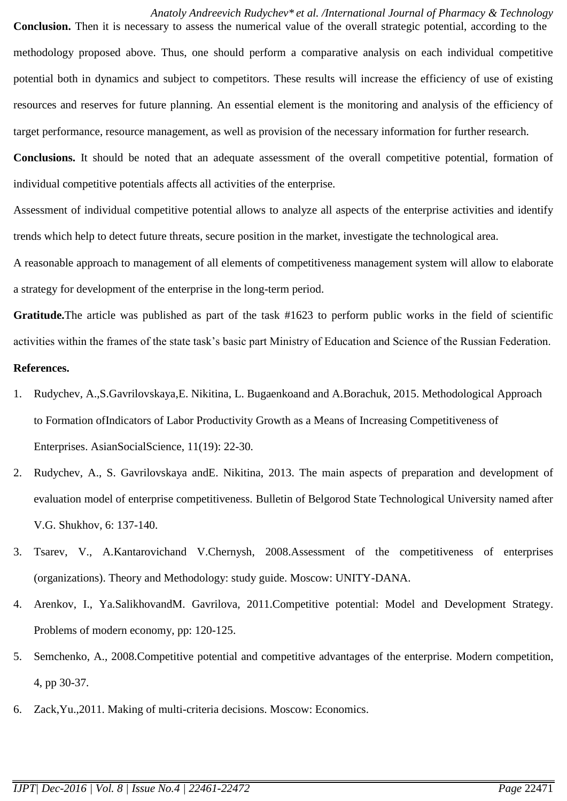## *Anatoly Andreevich Rudychev\* et al. /International Journal of Pharmacy & Technology*

**Conclusion.** Then it is necessary to assess the numerical value of the overall strategic potential, according to the methodology proposed above. Thus, one should perform a comparative analysis on each individual competitive potential both in dynamics and subject to competitors. These results will increase the efficiency of use of existing resources and reserves for future planning. An essential element is the monitoring and analysis of the efficiency of target performance, resource management, as well as provision of the necessary information for further research. **Conclusions.** It should be noted that an adequate assessment of the overall competitive potential, formation of

Assessment of individual competitive potential allows to analyze all aspects of the enterprise activities and identify trends which help to detect future threats, secure position in the market, investigate the technological area.

individual competitive potentials affects all activities of the enterprise.

A reasonable approach to management of all elements of competitiveness management system will allow to elaborate a strategy for development of the enterprise in the long-term period.

**Gratitude.**The article was published as part of the task #1623 to perform public works in the field of scientific activities within the frames of the state task's basic part Ministry of Education and Science of the Russian Federation. **References.**

- 1. Rudychev, A.,S.Gavrilovskaya,E. Nikitina, L. Bugaenkoand and A.Borachuk, 2015. Methodological Approach to Formation ofIndicators of Labor Productivity Growth as a Means of Increasing Competitiveness of Enterprises. AsianSocialScience, 11(19): 22-30.
- 2. Rudychev, A., S. Gavrilovskaya andE. Nikitina, 2013. The main aspects of preparation and development of evaluation model of enterprise competitiveness. Bulletin of Belgorod State Technological University named after V.G. Shukhov, 6: 137-140.
- 3. Tsarev, V., A.Kantarovichand V.Chernysh, 2008.Assessment of the competitiveness of enterprises (organizations). Theory and Methodology: study guide. Moscow: UNITY-DANA.
- 4. Arenkov, I., Ya.SalikhovandM. Gavrilova, 2011.Competitive potential: Model and Development Strategy. Problems of modern economy, pp: 120-125.
- 5. Semchenko, A., 2008.Competitive potential and competitive advantages of the enterprise. Modern competition, 4, pp 30-37.
- 6. Zack,Yu.,2011. Making of multi-criteria decisions. Moscow: Economics.